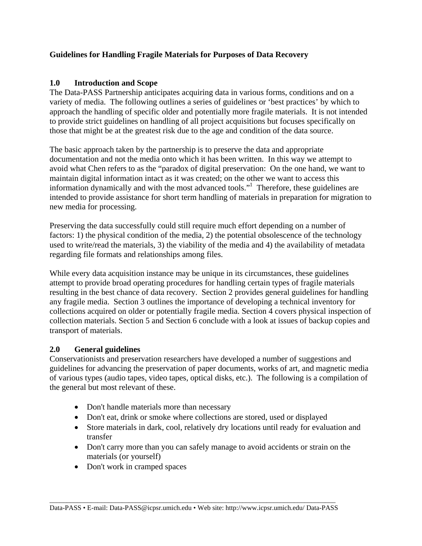## **Guidelines for Handling Fragile Materials for Purposes of Data Recovery**

## **1.0 Introduction and Scope**

The Data-PASS Partnership anticipates acquiring data in various forms, conditions and on a variety of media. The following outlines a series of guidelines or 'best practices' by which to approach the handling of specific older and potentially more fragile materials. It is not intended to provide strict guidelines on handling of all project acquisitions but focuses specifically on those that might be at the greatest risk due to the age and condition of the data source.

The basic approach taken by the partnership is to preserve the data and appropriate documentation and not the media onto which it has been written. In this way we attempt to avoid what Chen refers to as the "paradox of digital preservation: On the one hand, we want to maintain digital information intact as it was created; on the other we want to access this information dynamically and with the most advanced tools."<sup>1</sup> Therefore, these guidelines are intended to provide assistance for short term handling of materials in preparation for migration to new media for processing.

Preserving the data successfully could still require much effort depending on a number of factors: 1) the physical condition of the media, 2) the potential obsolescence of the technology used to write/read the materials, 3) the viability of the media and 4) the availability of metadata regarding file formats and relationships among files.

While every data acquisition instance may be unique in its circumstances, these guidelines attempt to provide broad operating procedures for handling certain types of fragile materials resulting in the best chance of data recovery. Section 2 provides general guidelines for handling any fragile media. Section 3 outlines the importance of developing a technical inventory for collections acquired on older or potentially fragile media. Section 4 covers physical inspection of collection materials. Section 5 and Section 6 conclude with a look at issues of backup copies and transport of materials.

## **2.0 General guidelines**

Conservationists and preservation researchers have developed a number of suggestions and guidelines for advancing the preservation of paper documents, works of art, and magnetic media of various types (audio tapes, video tapes, optical disks, etc.). The following is a compilation of the general but most relevant of these.

- Don't handle materials more than necessary
- Don't eat, drink or smoke where collections are stored, used or displayed
- Store materials in dark, cool, relatively dry locations until ready for evaluation and transfer
- Don't carry more than you can safely manage to avoid accidents or strain on the materials (or yourself)
- Don't work in cramped spaces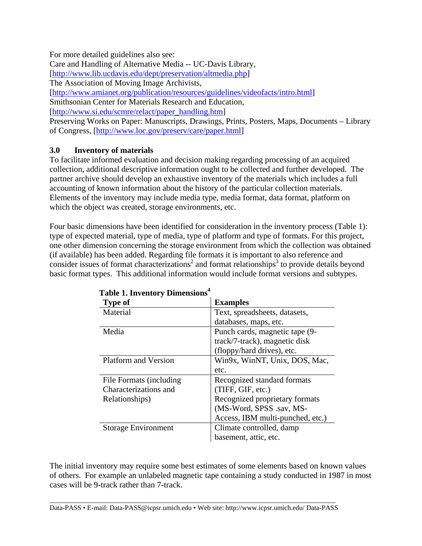For more detailed guidelines also see:

Care and Handling of Alternative Media -- UC-Davis Library,

[http://www.lib.ucdavis.edu/dept/preservation/altmedia.php]

The Association of Moving Image Archivists,

[http://www.amianet.org/publication/resources/guidelines/videofacts/intro.html]

Smithsonian Center for Materials Research and Education,

[http://www.si.edu/scmre/relact/paper\_handling.htm]

Preserving Works on Paper: Manuscripts, Drawings, Prints, Posters, Maps, Documents – Library of Congress, [http://www.loc.gov/preserv/care/paper.html]

### **3.0 Inventory of materials**

To facilitate informed evaluation and decision making regarding processing of an acquired collection, additional descriptive information ought to be collected and further developed. The partner archive should develop an exhaustive inventory of the materials which includes a full accounting of known information about the history of the particular collection materials. Elements of the inventory may include media type, media format, data format, platform on which the object was created, storage environments, etc.

Four basic dimensions have been identified for consideration in the inventory process (Table 1): type of expected material, type of media, type of platform and type of formats. For this project, one other dimension concerning the storage environment from which the collection was obtained (if available) has been added. Regarding file formats it is important to also reference and consider issues of format characterizations<sup>2</sup> and format relationships<sup>3</sup> to provide details beyond basic format types. This additional information would include format versions and subtypes.

| <b>Type of</b>              | <b>Examples</b>                  |
|-----------------------------|----------------------------------|
| Material                    | Text, spreadsheets, datasets,    |
|                             | databases, maps, etc.            |
| Media                       | Punch cards, magnetic tape (9-   |
|                             | track/7-track), magnetic disk    |
|                             | (floppy/hard drives), etc.       |
| <b>Platform and Version</b> | Win9x, WinNT, Unix, DOS, Mac,    |
|                             | etc.                             |
| File Formats (including     | Recognized standard formats      |
| Characterizations and       | (TIFF, GIF, etc.)                |
| Relationships)              | Recognized proprietary formats   |
|                             | (MS-Word, SPSS .sav, MS-         |
|                             | Access, IBM multi-punched, etc.) |
| <b>Storage Environment</b>  | Climate controlled, damp         |
|                             | basement, attic, etc.            |

| Table 1. Inventory Dimensions <sup>4</sup> |  |  |  |  |
|--------------------------------------------|--|--|--|--|
|--------------------------------------------|--|--|--|--|

The initial inventory may require some best estimates of some elements based on known values of others. For example an unlabeled magnetic tape containing a study conducted in 1987 in most cases will be 9-track rather than 7-track.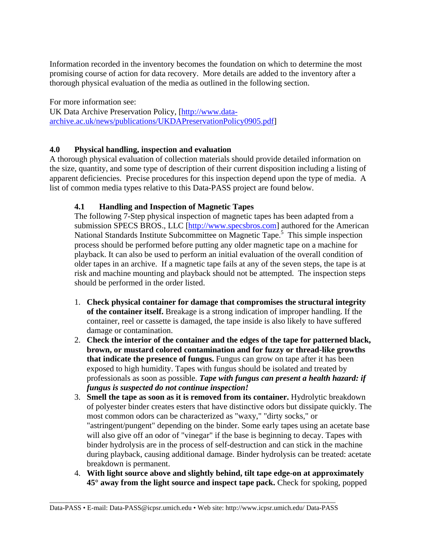Information recorded in the inventory becomes the foundation on which to determine the most promising course of action for data recovery. More details are added to the inventory after a thorough physical evaluation of the media as outlined in the following section.

For more information see: UK Data Archive Preservation Policy, [http://www.dataarchive.ac.uk/news/publications/UKDAPreservationPolicy0905.pdf]

### **4.0 Physical handling, inspection and evaluation**

A thorough physical evaluation of collection materials should provide detailed information on the size, quantity, and some type of description of their current disposition including a listing of apparent deficiencies. Precise procedures for this inspection depend upon the type of media. A list of common media types relative to this Data-PASS project are found below.

### **4.1 Handling and Inspection of Magnetic Tapes**

The following 7-Step physical inspection of magnetic tapes has been adapted from a submission SPECS BROS., LLC [http://www.specsbros.com] authored for the American National Standards Institute Subcommittee on Magnetic Tape.<sup>5</sup> This simple inspection process should be performed before putting any older magnetic tape on a machine for playback. It can also be used to perform an initial evaluation of the overall condition of older tapes in an archive. If a magnetic tape fails at any of the seven steps, the tape is at risk and machine mounting and playback should not be attempted. The inspection steps should be performed in the order listed.

- 1. **Check physical container for damage that compromises the structural integrity of the container itself.** Breakage is a strong indication of improper handling. If the container, reel or cassette is damaged, the tape inside is also likely to have suffered damage or contamination.
- 2. **Check the interior of the container and the edges of the tape for patterned black, brown, or mustard colored contamination and for fuzzy or thread-like growths that indicate the presence of fungus.** Fungus can grow on tape after it has been exposed to high humidity. Tapes with fungus should be isolated and treated by professionals as soon as possible. *Tape with fungus can present a health hazard: if fungus is suspected do not continue inspection!*
- 3. **Smell the tape as soon as it is removed from its container.** Hydrolytic breakdown of polyester binder creates esters that have distinctive odors but dissipate quickly. The most common odors can be characterized as "waxy," "dirty socks," or "astringent/pungent" depending on the binder. Some early tapes using an acetate base will also give off an odor of "vinegar" if the base is beginning to decay. Tapes with binder hydrolysis are in the process of self-destruction and can stick in the machine during playback, causing additional damage. Binder hydrolysis can be treated: acetate breakdown is permanent.
- 4. **With light source above and slightly behind, tilt tape edge-on at approximately 45° away from the light source and inspect tape pack.** Check for spoking, popped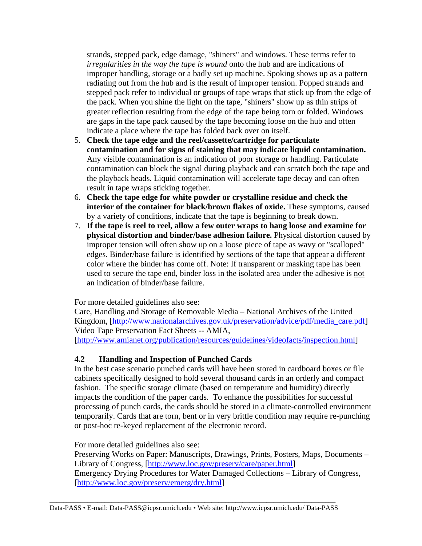strands, stepped pack, edge damage, "shiners" and windows. These terms refer to *irregularities in the way the tape is wound* onto the hub and are indications of improper handling, storage or a badly set up machine. Spoking shows up as a pattern radiating out from the hub and is the result of improper tension. Popped strands and stepped pack refer to individual or groups of tape wraps that stick up from the edge of the pack. When you shine the light on the tape, "shiners" show up as thin strips of greater reflection resulting from the edge of the tape being torn or folded. Windows are gaps in the tape pack caused by the tape becoming loose on the hub and often indicate a place where the tape has folded back over on itself.

- 5. **Check the tape edge and the reel/cassette/cartridge for particulate contamination and for signs of staining that may indicate liquid contamination.** Any visible contamination is an indication of poor storage or handling. Particulate contamination can block the signal during playback and can scratch both the tape and the playback heads. Liquid contamination will accelerate tape decay and can often result in tape wraps sticking together.
- 6. **Check the tape edge for white powder or crystalline residue and check the interior of the container for black/brown flakes of oxide.** These symptoms, caused by a variety of conditions, indicate that the tape is beginning to break down.
- 7. **If the tape is reel to reel, allow a few outer wraps to hang loose and examine for physical distortion and binder/base adhesion failure.** Physical distortion caused by improper tension will often show up on a loose piece of tape as wavy or "scalloped" edges. Binder/base failure is identified by sections of the tape that appear a different color where the binder has come off. Note: If transparent or masking tape has been used to secure the tape end, binder loss in the isolated area under the adhesive is not an indication of binder/base failure.

For more detailed guidelines also see:

Care, Handling and Storage of Removable Media – National Archives of the United Kingdom, [http://www.nationalarchives.gov.uk/preservation/advice/pdf/media\_care.pdf] Video Tape Preservation Fact Sheets -- AMIA,

[http://www.amianet.org/publication/resources/guidelines/videofacts/inspection.html]

#### **4.2 Handling and Inspection of Punched Cards**

In the best case scenario punched cards will have been stored in cardboard boxes or file cabinets specifically designed to hold several thousand cards in an orderly and compact fashion. The specific storage climate (based on temperature and humidity) directly impacts the condition of the paper cards. To enhance the possibilities for successful processing of punch cards, the cards should be stored in a climate-controlled environment temporarily. Cards that are torn, bent or in very brittle condition may require re-punching or post-hoc re-keyed replacement of the electronic record.

For more detailed guidelines also see:

Preserving Works on Paper: Manuscripts, Drawings, Prints, Posters, Maps, Documents – Library of Congress, [http://www.loc.gov/preserv/care/paper.html] Emergency Drying Procedures for Water Damaged Collections – Library of Congress, [http://www.loc.gov/preserv/emerg/dry.html]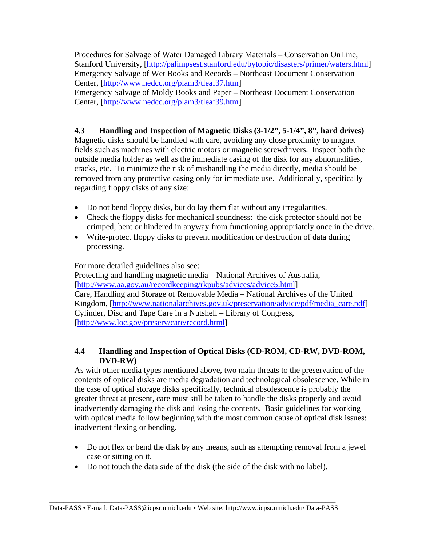Procedures for Salvage of Water Damaged Library Materials – Conservation OnLine, Stanford University, [http://palimpsest.stanford.edu/bytopic/disasters/primer/waters.html] Emergency Salvage of Wet Books and Records – Northeast Document Conservation Center, [http://www.nedcc.org/plam3/tleaf37.htm] Emergency Salvage of Moldy Books and Paper – Northeast Document Conservation

Center, [http://www.nedcc.org/plam3/tleaf39.htm]

# **4.3 Handling and Inspection of Magnetic Disks (3-1/2", 5-1/4", 8", hard drives)**

Magnetic disks should be handled with care, avoiding any close proximity to magnet fields such as machines with electric motors or magnetic screwdrivers. Inspect both the outside media holder as well as the immediate casing of the disk for any abnormalities, cracks, etc. To minimize the risk of mishandling the media directly, media should be removed from any protective casing only for immediate use. Additionally, specifically regarding floppy disks of any size:

- Do not bend floppy disks, but do lay them flat without any irregularities.
- Check the floppy disks for mechanical soundness: the disk protector should not be crimped, bent or hindered in anyway from functioning appropriately once in the drive.
- Write-protect floppy disks to prevent modification or destruction of data during processing.

For more detailed guidelines also see:

Protecting and handling magnetic media – National Archives of Australia, [http://www.aa.gov.au/recordkeeping/rkpubs/advices/advice5.html] Care, Handling and Storage of Removable Media – National Archives of the United Kingdom, [http://www.nationalarchives.gov.uk/preservation/advice/pdf/media\_care.pdf] Cylinder, Disc and Tape Care in a Nutshell – Library of Congress, [http://www.loc.gov/preserv/care/record.html]

## **4.4 Handling and Inspection of Optical Disks (CD-ROM, CD-RW, DVD-ROM, DVD-RW)**

As with other media types mentioned above, two main threats to the preservation of the contents of optical disks are media degradation and technological obsolescence. While in the case of optical storage disks specifically, technical obsolescence is probably the greater threat at present, care must still be taken to handle the disks properly and avoid inadvertently damaging the disk and losing the contents. Basic guidelines for working with optical media follow beginning with the most common cause of optical disk issues: inadvertent flexing or bending.

- Do not flex or bend the disk by any means, such as attempting removal from a jewel case or sitting on it.
- Do not touch the data side of the disk (the side of the disk with no label).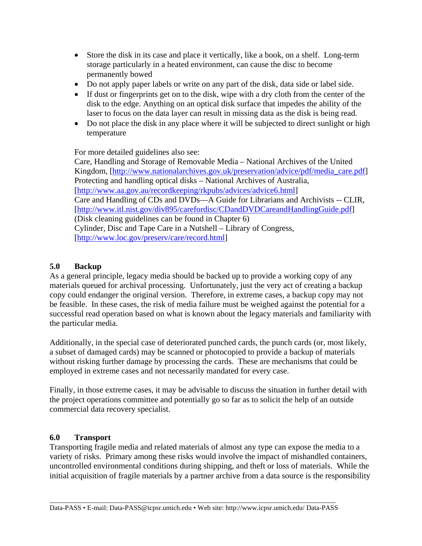- Store the disk in its case and place it vertically, like a book, on a shelf. Long-term storage particularly in a heated environment, can cause the disc to become permanently bowed
- Do not apply paper labels or write on any part of the disk, data side or label side.
- If dust or fingerprints get on to the disk, wipe with a dry cloth from the center of the disk to the edge. Anything on an optical disk surface that impedes the ability of the laser to focus on the data layer can result in missing data as the disk is being read.
- Do not place the disk in any place where it will be subjected to direct sunlight or high temperature

For more detailed guidelines also see:

Care, Handling and Storage of Removable Media – National Archives of the United Kingdom, [http://www.nationalarchives.gov.uk/preservation/advice/pdf/media\_care.pdf] Protecting and handling optical disks – National Archives of Australia, [http://www.aa.gov.au/recordkeeping/rkpubs/advices/advice6.html] Care and Handling of CDs and DVDs—A Guide for Librarians and Archivists -- CLIR, [http://www.itl.nist.gov/div895/carefordisc/CDandDVDCareandHandlingGuide.pdf] (Disk cleaning guidelines can be found in Chapter 6) Cylinder, Disc and Tape Care in a Nutshell – Library of Congress, [http://www.loc.gov/preserv/care/record.html]

# **5.0 Backup**

As a general principle, legacy media should be backed up to provide a working copy of any materials queued for archival processing. Unfortunately, just the very act of creating a backup copy could endanger the original version. Therefore, in extreme cases, a backup copy may not be feasible. In these cases, the risk of media failure must be weighed against the potential for a successful read operation based on what is known about the legacy materials and familiarity with the particular media.

Additionally, in the special case of deteriorated punched cards, the punch cards (or, most likely, a subset of damaged cards) may be scanned or photocopied to provide a backup of materials without risking further damage by processing the cards. These are mechanisms that could be employed in extreme cases and not necessarily mandated for every case.

Finally, in those extreme cases, it may be advisable to discuss the situation in further detail with the project operations committee and potentially go so far as to solicit the help of an outside commercial data recovery specialist.

## **6.0 Transport**

Transporting fragile media and related materials of almost any type can expose the media to a variety of risks. Primary among these risks would involve the impact of mishandled containers, uncontrolled environmental conditions during shipping, and theft or loss of materials. While the initial acquisition of fragile materials by a partner archive from a data source is the responsibility